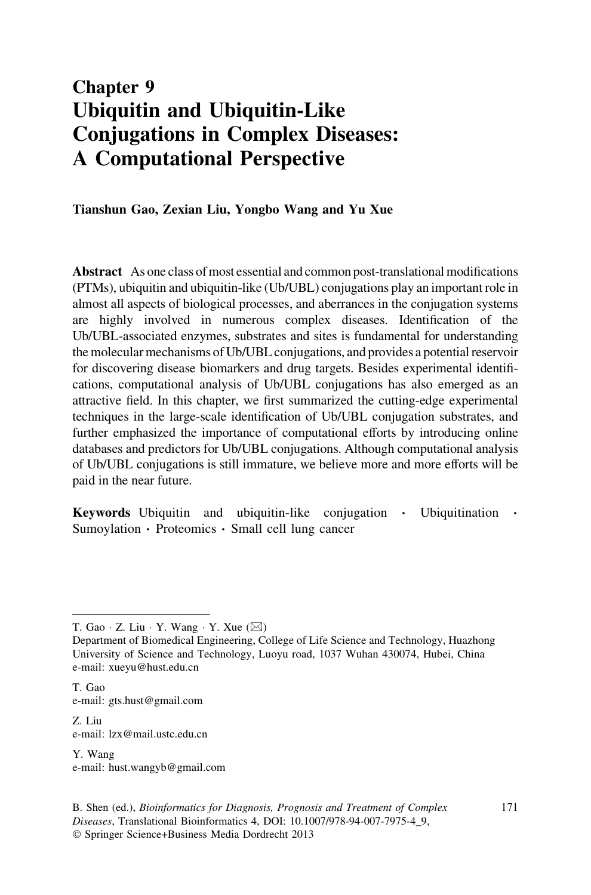# Chapter 9 Ubiquitin and Ubiquitin-Like Conjugations in Complex Diseases: A Computational Perspective

Tianshun Gao, Zexian Liu, Yongbo Wang and Yu Xue

Abstract As one class of most essential and common post-translational modifications (PTMs), ubiquitin and ubiquitin-like (Ub/UBL) conjugations play an important role in almost all aspects of biological processes, and aberrances in the conjugation systems are highly involved in numerous complex diseases. Identification of the Ub/UBL-associated enzymes, substrates and sites is fundamental for understanding the molecular mechanisms of Ub/UBL conjugations, and provides a potential reservoir for discovering disease biomarkers and drug targets. Besides experimental identifications, computational analysis of Ub/UBL conjugations has also emerged as an attractive field. In this chapter, we first summarized the cutting-edge experimental techniques in the large-scale identification of Ub/UBL conjugation substrates, and further emphasized the importance of computational efforts by introducing online databases and predictors for Ub/UBL conjugations. Although computational analysis of Ub/UBL conjugations is still immature, we believe more and more efforts will be paid in the near future.

Keywords Ubiquitin and ubiquitin-like conjugation · Ubiquitination · Sumoylation - Proteomics - Small cell lung cancer

T. Gao e-mail: gts.hust@gmail.com

Z. Liu e-mail: lzx@mail.ustc.edu.cn

Y. Wang e-mail: hust.wangyb@gmail.com

T. Gao · Z. Liu · Y. Wang · Y. Xue ( $\boxtimes$ )

Department of Biomedical Engineering, College of Life Science and Technology, Huazhong University of Science and Technology, Luoyu road, 1037 Wuhan 430074, Hubei, China e-mail: xueyu@hust.edu.cn

B. Shen (ed.), Bioinformatics for Diagnosis, Prognosis and Treatment of Complex Diseases, Translational Bioinformatics 4, DOI: 10.1007/978-94-007-7975-4\_9, - Springer Science+Business Media Dordrecht 2013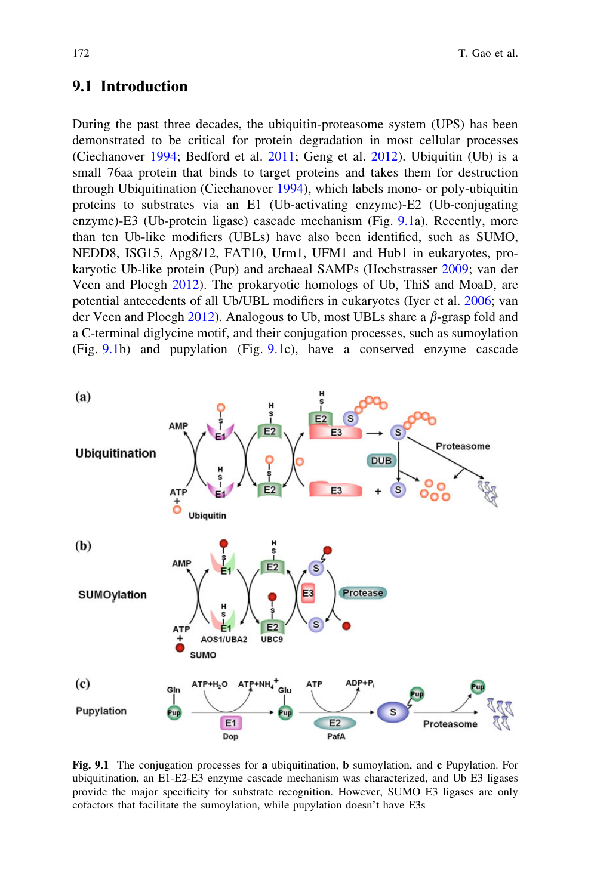### 9.1 Introduction

During the past three decades, the ubiquitin-proteasome system (UPS) has been demonstrated to be critical for protein degradation in most cellular processes (Ciechanover [1994;](#page-12-0) Bedford et al. [2011](#page-11-0); Geng et al. [2012](#page-13-0)). Ubiquitin (Ub) is a small 76aa protein that binds to target proteins and takes them for destruction through Ubiquitination (Ciechanover [1994\)](#page-12-0), which labels mono- or poly-ubiquitin proteins to substrates via an E1 (Ub-activating enzyme)-E2 (Ub-conjugating enzyme)-E3 (Ub-protein ligase) cascade mechanism (Fig. 9.1a). Recently, more than ten Ub-like modifiers (UBLs) have also been identified, such as SUMO, NEDD8, ISG15, Apg8/12, FAT10, Urm1, UFM1 and Hub1 in eukaryotes, prokaryotic Ub-like protein (Pup) and archaeal SAMPs (Hochstrasser [2009;](#page-13-0) van der Veen and Ploegh [2012](#page-16-0)). The prokaryotic homologs of Ub, ThiS and MoaD, are potential antecedents of all Ub/UBL modifiers in eukaryotes (Iyer et al. [2006](#page-13-0); van der Veen and Ploegh  $2012$ ). Analogous to Ub, most UBLs share a  $\beta$ -grasp fold and a C-terminal diglycine motif, and their conjugation processes, such as sumoylation (Fig. 9.1b) and pupylation (Fig. 9.1c), have a conserved enzyme cascade



Fig. 9.1 The conjugation processes for a ubiquitination, b sumoylation, and c Pupylation. For ubiquitination, an E1-E2-E3 enzyme cascade mechanism was characterized, and Ub E3 ligases provide the major specificity for substrate recognition. However, SUMO E3 ligases are only cofactors that facilitate the sumoylation, while pupylation doesn't have E3s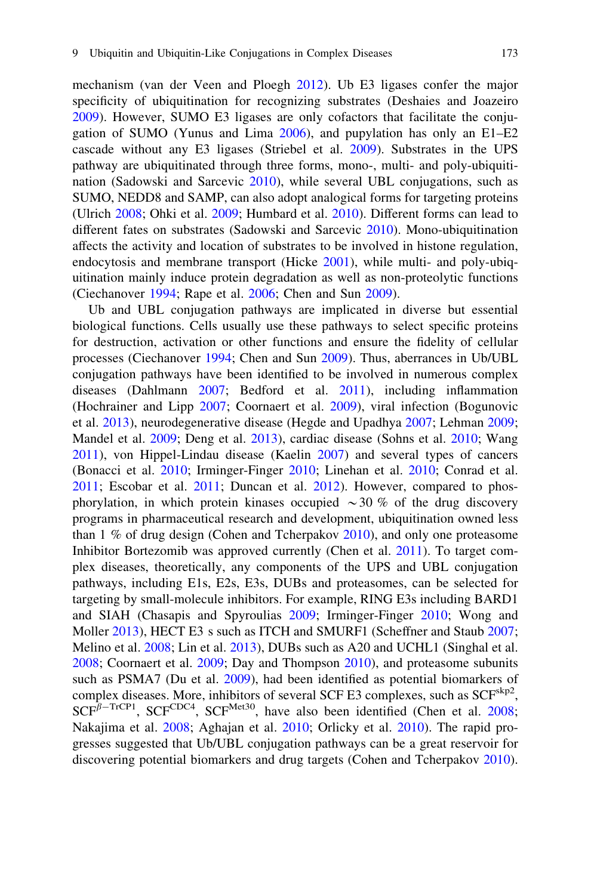mechanism (van der Veen and Ploegh [2012\)](#page-16-0). Ub E3 ligases confer the major specificity of ubiquitination for recognizing substrates (Deshaies and Joazeiro [2009\)](#page-12-0). However, SUMO E3 ligases are only cofactors that facilitate the conjugation of SUMO (Yunus and Lima [2006\)](#page-16-0), and pupylation has only an E1–E2 cascade without any E3 ligases (Striebel et al. [2009](#page-15-0)). Substrates in the UPS pathway are ubiquitinated through three forms, mono-, multi- and poly-ubiquitination (Sadowski and Sarcevic [2010\)](#page-15-0), while several UBL conjugations, such as SUMO, NEDD8 and SAMP, can also adopt analogical forms for targeting proteins (Ulrich [2008;](#page-16-0) Ohki et al. [2009](#page-15-0); Humbard et al. [2010\)](#page-13-0). Different forms can lead to different fates on substrates (Sadowski and Sarcevic [2010\)](#page-15-0). Mono-ubiquitination affects the activity and location of substrates to be involved in histone regulation, endocytosis and membrane transport (Hicke [2001](#page-13-0)), while multi- and poly-ubiquitination mainly induce protein degradation as well as non-proteolytic functions (Ciechanover [1994](#page-12-0); Rape et al. [2006;](#page-15-0) Chen and Sun [2009\)](#page-12-0).

Ub and UBL conjugation pathways are implicated in diverse but essential biological functions. Cells usually use these pathways to select specific proteins for destruction, activation or other functions and ensure the fidelity of cellular processes (Ciechanover [1994](#page-12-0); Chen and Sun [2009\)](#page-12-0). Thus, aberrances in Ub/UBL conjugation pathways have been identified to be involved in numerous complex diseases (Dahlmann [2007;](#page-12-0) Bedford et al. [2011](#page-11-0)), including inflammation (Hochrainer and Lipp [2007](#page-13-0); Coornaert et al. [2009](#page-12-0)), viral infection (Bogunovic et al. [2013](#page-11-0)), neurodegenerative disease (Hegde and Upadhya [2007;](#page-13-0) Lehman [2009;](#page-14-0) Mandel et al. [2009;](#page-14-0) Deng et al. [2013\)](#page-12-0), cardiac disease (Sohns et al. [2010](#page-15-0); Wang [2011\)](#page-16-0), von Hippel-Lindau disease (Kaelin [2007](#page-13-0)) and several types of cancers (Bonacci et al. [2010](#page-12-0); Irminger-Finger [2010;](#page-13-0) Linehan et al. [2010;](#page-14-0) Conrad et al. [2011;](#page-12-0) Escobar et al. [2011](#page-13-0); Duncan et al. [2012](#page-13-0)). However, compared to phosphorylation, in which protein kinases occupied  $\sim$ 30 % of the drug discovery programs in pharmaceutical research and development, ubiquitination owned less than 1 % of drug design (Cohen and Tcherpakov [2010](#page-12-0)), and only one proteasome Inhibitor Bortezomib was approved currently (Chen et al. [2011\)](#page-12-0). To target complex diseases, theoretically, any components of the UPS and UBL conjugation pathways, including E1s, E2s, E3s, DUBs and proteasomes, can be selected for targeting by small-molecule inhibitors. For example, RING E3s including BARD1 and SIAH (Chasapis and Spyroulias [2009;](#page-12-0) Irminger-Finger [2010](#page-13-0); Wong and Moller [2013\)](#page-16-0), HECT E3 s such as ITCH and SMURF1 (Scheffner and Staub [2007;](#page-15-0) Melino et al. [2008](#page-14-0); Lin et al. [2013](#page-14-0)), DUBs such as A20 and UCHL1 (Singhal et al. [2008;](#page-15-0) Coornaert et al. [2009;](#page-12-0) Day and Thompson [2010](#page-12-0)), and proteasome subunits such as PSMA7 (Du et al. [2009\)](#page-12-0), had been identified as potential biomarkers of complex diseases. More, inhibitors of several SCF E3 complexes, such as  $SCF<sup>skip2</sup>$ ,  $SCF<sup>\beta-TrCP1</sup>$ ,  $SCF<sup>CDC4</sup>$ ,  $SCF<sup>Met30</sup>$ , have also been identified (Chen et al. [2008;](#page-12-0) Nakajima et al. [2008](#page-14-0); Aghajan et al. [2010](#page-11-0); Orlicky et al. [2010\)](#page-15-0). The rapid progresses suggested that Ub/UBL conjugation pathways can be a great reservoir for discovering potential biomarkers and drug targets (Cohen and Tcherpakov [2010\)](#page-12-0).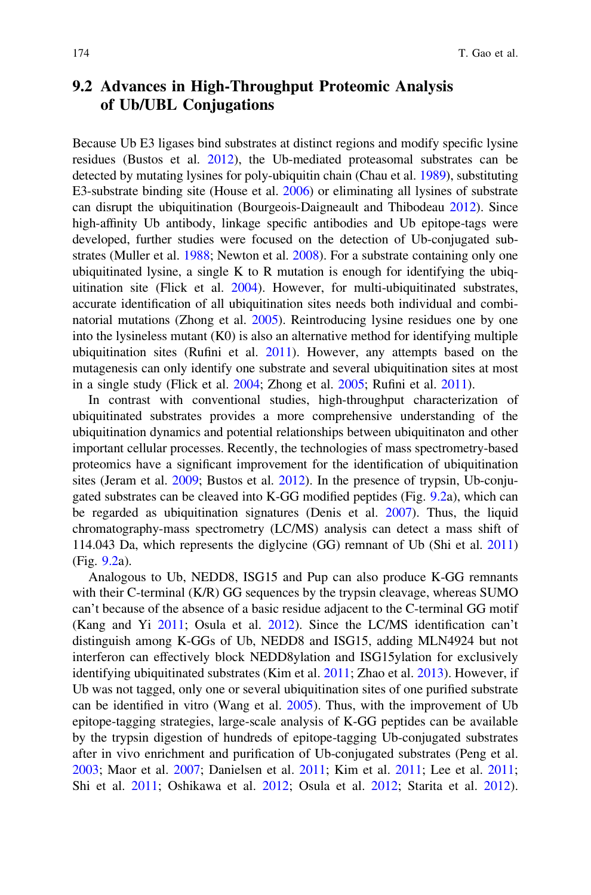# 9.2 Advances in High-Throughput Proteomic Analysis of Ub/UBL Conjugations

Because Ub E3 ligases bind substrates at distinct regions and modify specific lysine residues (Bustos et al. [2012\)](#page-12-0), the Ub-mediated proteasomal substrates can be detected by mutating lysines for poly-ubiquitin chain (Chau et al. [1989\)](#page-12-0), substituting E3-substrate binding site (House et al. [2006](#page-13-0)) or eliminating all lysines of substrate can disrupt the ubiquitination (Bourgeois-Daigneault and Thibodeau [2012](#page-12-0)). Since high-affinity Ub antibody, linkage specific antibodies and Ub epitope-tags were developed, further studies were focused on the detection of Ub-conjugated substrates (Muller et al. [1988](#page-14-0); Newton et al. [2008](#page-14-0)). For a substrate containing only one ubiquitinated lysine, a single K to R mutation is enough for identifying the ubiquitination site (Flick et al. [2004\)](#page-13-0). However, for multi-ubiquitinated substrates, accurate identification of all ubiquitination sites needs both individual and combinatorial mutations (Zhong et al. [2005\)](#page-16-0). Reintroducing lysine residues one by one into the lysineless mutant (K0) is also an alternative method for identifying multiple ubiquitination sites (Rufini et al. [2011](#page-15-0)). However, any attempts based on the mutagenesis can only identify one substrate and several ubiquitination sites at most in a single study (Flick et al. [2004](#page-13-0); Zhong et al. [2005](#page-16-0); Rufini et al. [2011\)](#page-15-0).

In contrast with conventional studies, high-throughput characterization of ubiquitinated substrates provides a more comprehensive understanding of the ubiquitination dynamics and potential relationships between ubiquitinaton and other important cellular processes. Recently, the technologies of mass spectrometry-based proteomics have a significant improvement for the identification of ubiquitination sites (Jeram et al. [2009;](#page-13-0) Bustos et al. [2012\)](#page-12-0). In the presence of trypsin, Ub-conjugated substrates can be cleaved into K-GG modified peptides (Fig. [9.2](#page-4-0)a), which can be regarded as ubiquitination signatures (Denis et al. [2007](#page-12-0)). Thus, the liquid chromatography-mass spectrometry (LC/MS) analysis can detect a mass shift of 114.043 Da, which represents the diglycine (GG) remnant of Ub (Shi et al. [2011](#page-15-0)) (Fig. [9.2](#page-4-0)a).

Analogous to Ub, NEDD8, ISG15 and Pup can also produce K-GG remnants with their C-terminal (K/R) GG sequences by the trypsin cleavage, whereas SUMO can't because of the absence of a basic residue adjacent to the C-terminal GG motif (Kang and Yi [2011](#page-14-0); Osula et al. [2012](#page-15-0)). Since the LC/MS identification can't distinguish among K-GGs of Ub, NEDD8 and ISG15, adding MLN4924 but not interferon can effectively block NEDD8ylation and ISG15ylation for exclusively identifying ubiquitinated substrates (Kim et al. [2011;](#page-14-0) Zhao et al. [2013](#page-16-0)). However, if Ub was not tagged, only one or several ubiquitination sites of one purified substrate can be identified in vitro (Wang et al. [2005](#page-16-0)). Thus, with the improvement of Ub epitope-tagging strategies, large-scale analysis of K-GG peptides can be available by the trypsin digestion of hundreds of epitope-tagging Ub-conjugated substrates after in vivo enrichment and purification of Ub-conjugated substrates (Peng et al. [2003;](#page-15-0) Maor et al. [2007;](#page-14-0) Danielsen et al. [2011](#page-12-0); Kim et al. [2011;](#page-14-0) Lee et al. [2011;](#page-14-0) Shi et al. [2011;](#page-15-0) Oshikawa et al. [2012;](#page-15-0) Osula et al. [2012;](#page-15-0) Starita et al. [2012\)](#page-15-0).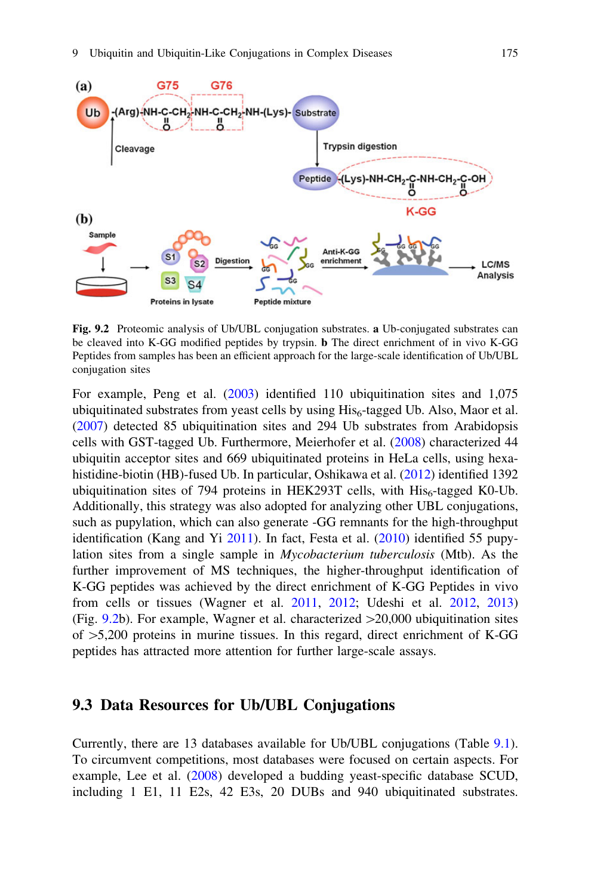<span id="page-4-0"></span>

Fig. 9.2 Proteomic analysis of Ub/UBL conjugation substrates. a Ub-conjugated substrates can be cleaved into K-GG modified peptides by trypsin. b The direct enrichment of in vivo K-GG Peptides from samples has been an efficient approach for the large-scale identification of Ub/UBL conjugation sites

For example, Peng et al. [\(2003](#page-15-0)) identified 110 ubiquitination sites and 1,075 ubiquitinated substrates from yeast cells by using  $His<sub>6</sub>$ -tagged Ub. Also, Maor et al. [\(2007\)](#page-14-0) detected 85 ubiquitination sites and 294 Ub substrates from Arabidopsis cells with GST-tagged Ub. Furthermore, Meierhofer et al. [\(2008](#page-14-0)) characterized 44 ubiquitin acceptor sites and 669 ubiquitinated proteins in HeLa cells, using hexahistidine-biotin (HB)-fused Ub. In particular, Oshikawa et al. ([2012](#page-15-0)) identified 1392 ubiquitination sites of 794 proteins in HEK293T cells, with  $His<sub>6</sub>$ -tagged K0-Ub. Additionally, this strategy was also adopted for analyzing other UBL conjugations, such as pupylation, which can also generate -GG remnants for the high-throughput identification (Kang and Yi [2011\)](#page-14-0). In fact, Festa et al. ([2010](#page-13-0)) identified 55 pupylation sites from a single sample in Mycobacterium tuberculosis (Mtb). As the further improvement of MS techniques, the higher-throughput identification of K-GG peptides was achieved by the direct enrichment of K-GG Peptides in vivo from cells or tissues (Wagner et al. [2011,](#page-16-0) [2012](#page-16-0); Udeshi et al. [2012](#page-15-0), [2013](#page-15-0)) (Fig. 9.2b). For example, Wagner et al. characterized  $>20,000$  ubiquitination sites of  $>5,200$  proteins in murine tissues. In this regard, direct enrichment of K-GG peptides has attracted more attention for further large-scale assays.

### 9.3 Data Resources for Ub/UBL Conjugations

Currently, there are 13 databases available for Ub/UBL conjugations (Table [9.1\)](#page-5-0). To circumvent competitions, most databases were focused on certain aspects. For example, Lee et al. [\(2008](#page-14-0)) developed a budding yeast-specific database SCUD, including 1 E1, 11 E2s, 42 E3s, 20 DUBs and 940 ubiquitinated substrates.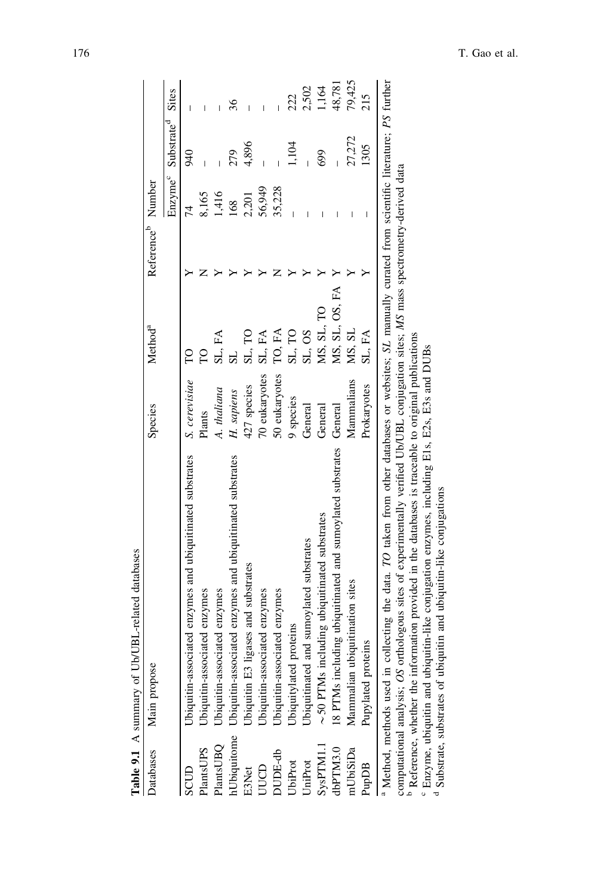<span id="page-5-0"></span>

|                                   | Table 9.1 A summary of Ub/UBL-related databases                                                                                                                                                                                |               |                     |                               |                     |                        |              |
|-----------------------------------|--------------------------------------------------------------------------------------------------------------------------------------------------------------------------------------------------------------------------------|---------------|---------------------|-------------------------------|---------------------|------------------------|--------------|
| Databases                         | Main propose                                                                                                                                                                                                                   | Species       | Method <sup>a</sup> | Reference <sup>9</sup> Number |                     |                        |              |
|                                   |                                                                                                                                                                                                                                |               |                     |                               | Enzyme <sup>c</sup> | Substrate <sup>d</sup> | <b>Sites</b> |
| SCUD                              | Ubiquitin-associated enzymes and ubiquitinated substrates                                                                                                                                                                      | S. cerevisiae |                     |                               | 74                  | 940                    |              |
| PlantsUPS                         |                                                                                                                                                                                                                                | Plants        |                     |                               | 8,165               |                        |              |
| PlantsUBQ                         | Ubiquitin-associated enzymes<br>Ubiquitin-associated enzymes                                                                                                                                                                   | A. thaliana   | SL, FA              |                               | 1,416               |                        |              |
| hUbiquitome                       | Ubiquitin-associated enzymes and ubiquitinated substrates                                                                                                                                                                      | H. sapiens    | $_{\rm SI}$         |                               | 168                 | 279                    | 36           |
| <b>E3Net</b>                      | Jbiquitin E3 ligases and substrates                                                                                                                                                                                            | 427 species   | ξ<br>sL,            |                               | 2,201               | 4,896                  |              |
| pon                               | Jbiquitin-associated enzymes                                                                                                                                                                                                   | 70 eukaryotes | £Á<br>SL,           |                               | 56,949              |                        |              |
| OUDE-db                           | Ubiquitin-associated enzymes                                                                                                                                                                                                   | 50 eukaryotes | TO, FA              |                               | 35,228              |                        |              |
| <b>JbiProt</b>                    | Jbiquitylated proteins                                                                                                                                                                                                         | 9 species     | SL, TO              |                               |                     | 1.104                  | 222          |
| <b>JniProt</b>                    | Jbiquitinated and sumoylated substrates                                                                                                                                                                                        | General       | SL, OS              |                               |                     |                        | 2,502        |
| SysPTM1.1                         | $\sim$ 50 PTMs including ubiquit<br>inated substrates                                                                                                                                                                          | General       | MS, SL, TO          |                               |                     | 699                    | 1,164        |
| dbPTM3.0                          | 18 PTMs including ubiquitinated and sumoylated substrates General                                                                                                                                                              |               | MS, SL, OS, FA      |                               |                     |                        | 48,781       |
| mUbiSiDa                          | Mammalian ubiquitination sites                                                                                                                                                                                                 | Mammalians    | MS, SL              |                               |                     | 27,272                 | 79,425       |
| PupDB                             | proteins<br>Pupylated                                                                                                                                                                                                          | Prokaryotes   | SL, FA              |                               |                     | 1305                   |              |
| <sup>a</sup> Method, methods used | in collecting the data. TO taken from other databases or websites; SL manually curated from scientific literature; PS further                                                                                                  |               |                     |                               |                     |                        |              |
| computational analysis; (         | OS orthologous sites of experimentally verified Ub/UBL conjugation sites; MS mass spectrometry-derived data<br><sup>b</sup> Reference, whether the information provided in the databases is traceable to original publications |               |                     |                               |                     |                        |              |
|                                   | Enzyme, ubiquitin and ubiquitin-like conjugation enzymes, including E1s, E2s, E3s and DUBs                                                                                                                                     |               |                     |                               |                     |                        |              |

Substrate, substrates of ubiquitin and ubiquitin-like conjugations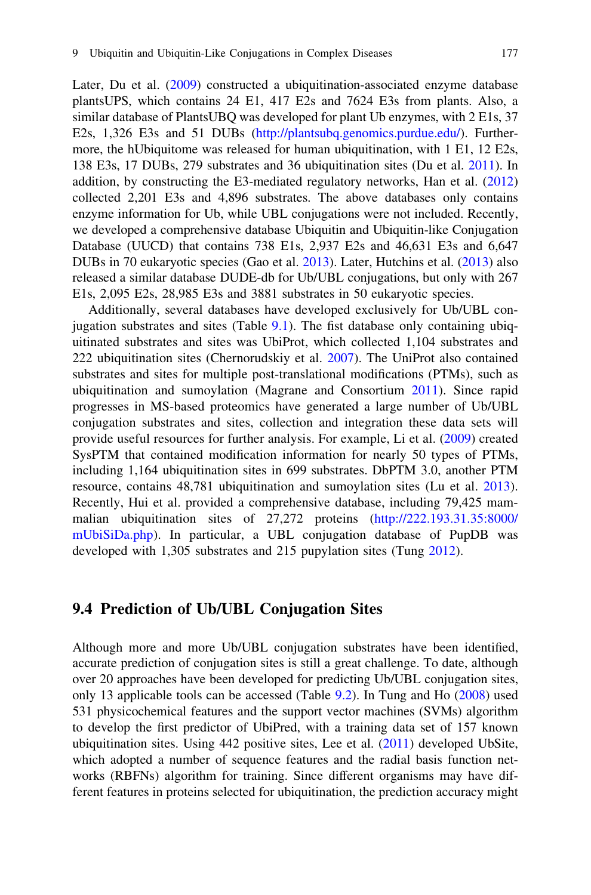Later, Du et al. [\(2009](#page-13-0)) constructed a ubiquitination-associated enzyme database plantsUPS, which contains 24 E1, 417 E2s and 7624 E3s from plants. Also, a similar database of PlantsUBQ was developed for plant Ub enzymes, with 2 E1s, 37 E2s, 1,326 E3s and 51 DUBs [\(http://plantsubq.genomics.purdue.edu/](http://plantsubq.genomics.purdue.edu/)). Furthermore, the hUbiquitome was released for human ubiquitination, with 1 E1, 12 E2s, 138 E3s, 17 DUBs, 279 substrates and 36 ubiquitination sites (Du et al. [2011](#page-12-0)). In addition, by constructing the E3-mediated regulatory networks, Han et al. [\(2012](#page-13-0)) collected 2,201 E3s and 4,896 substrates. The above databases only contains enzyme information for Ub, while UBL conjugations were not included. Recently, we developed a comprehensive database Ubiquitin and Ubiquitin-like Conjugation Database (UUCD) that contains 738 E1s, 2,937 E2s and 46,631 E3s and 6,647 DUBs in 70 eukaryotic species (Gao et al. [2013\)](#page-13-0). Later, Hutchins et al. ([2013\)](#page-13-0) also released a similar database DUDE-db for Ub/UBL conjugations, but only with 267 E1s, 2,095 E2s, 28,985 E3s and 3881 substrates in 50 eukaryotic species.

Additionally, several databases have developed exclusively for Ub/UBL conjugation substrates and sites (Table  $9.1$ ). The fist database only containing ubiquitinated substrates and sites was UbiProt, which collected 1,104 substrates and 222 ubiquitination sites (Chernorudskiy et al. [2007](#page-12-0)). The UniProt also contained substrates and sites for multiple post-translational modifications (PTMs), such as ubiquitination and sumoylation (Magrane and Consortium [2011](#page-14-0)). Since rapid progresses in MS-based proteomics have generated a large number of Ub/UBL conjugation substrates and sites, collection and integration these data sets will provide useful resources for further analysis. For example, Li et al. [\(2009](#page-14-0)) created SysPTM that contained modification information for nearly 50 types of PTMs, including 1,164 ubiquitination sites in 699 substrates. DbPTM 3.0, another PTM resource, contains 48,781 ubiquitination and sumoylation sites (Lu et al. [2013\)](#page-14-0). Recently, Hui et al. provided a comprehensive database, including 79,425 mammalian ubiquitination sites of 27,272 proteins [\(http://222.193.31.35:8000/](http://222.193.31.35:8000/mUbiSiDa.php) [mUbiSiDa.php](http://222.193.31.35:8000/mUbiSiDa.php)). In particular, a UBL conjugation database of PupDB was developed with 1,305 substrates and 215 pupylation sites (Tung [2012](#page-15-0)).

#### 9.4 Prediction of Ub/UBL Conjugation Sites

Although more and more Ub/UBL conjugation substrates have been identified, accurate prediction of conjugation sites is still a great challenge. To date, although over 20 approaches have been developed for predicting Ub/UBL conjugation sites, only 13 applicable tools can be accessed (Table [9.2\)](#page-7-0). In Tung and Ho [\(2008](#page-15-0)) used 531 physicochemical features and the support vector machines (SVMs) algorithm to develop the first predictor of UbiPred, with a training data set of 157 known ubiquitination sites. Using 442 positive sites, Lee et al. ([2011\)](#page-14-0) developed UbSite, which adopted a number of sequence features and the radial basis function networks (RBFNs) algorithm for training. Since different organisms may have different features in proteins selected for ubiquitination, the prediction accuracy might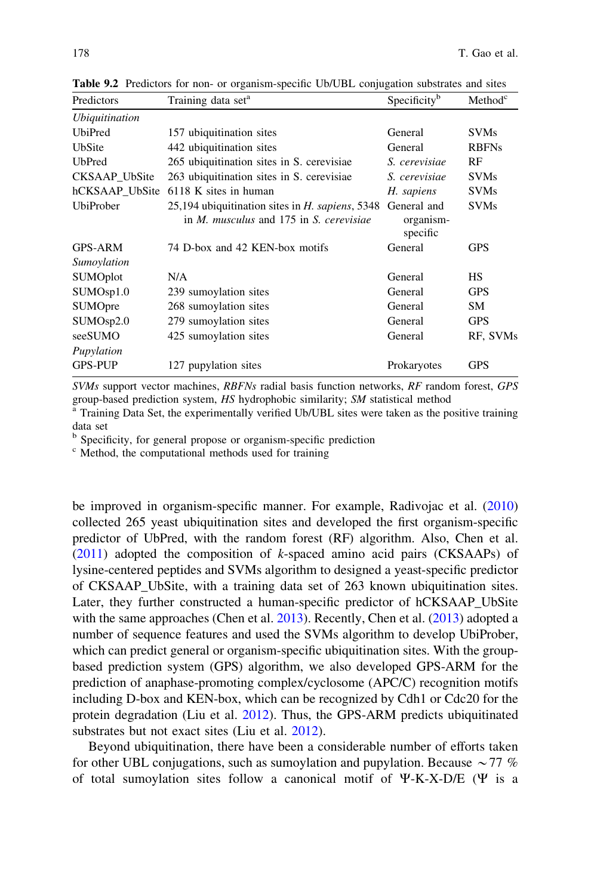| Predictors            | Training data set <sup>a</sup>                                                                           | Specificity <sup>b</sup>             | Method <sup>c</sup> |
|-----------------------|----------------------------------------------------------------------------------------------------------|--------------------------------------|---------------------|
| <i>Ubiquitination</i> |                                                                                                          |                                      |                     |
| <b>UbiPred</b>        | 157 ubiquitination sites                                                                                 | General                              | <b>SVMs</b>         |
| UbSite                | 442 ubiquitination sites                                                                                 | General                              | <b>RBFNs</b>        |
| <b>UbPred</b>         | 265 ubiquitination sites in S. cerevisiae                                                                | S. cerevisiae                        | RF                  |
| CKSAAP UbSite         | 263 ubiquitination sites in S. cerevisiae                                                                | S. cerevisiae                        | <b>SVMs</b>         |
| hCKSAAP_UbSite        | 6118 K sites in human                                                                                    | H. sapiens                           | <b>SVMs</b>         |
| <b>UbiProber</b>      | 25,194 ubiquitination sites in H. sapiens, 5348<br>in <i>M. musculus</i> and 175 in <i>S. cerevisiae</i> | General and<br>organism-<br>specific | <b>SVMs</b>         |
| <b>GPS-ARM</b>        | 74 D-box and 42 KEN-box motifs                                                                           | General                              | <b>GPS</b>          |
| Sumoylation           |                                                                                                          |                                      |                     |
| <b>SUMOplot</b>       | N/A                                                                                                      | General                              | <b>HS</b>           |
| SUMO <sub>sp1.0</sub> | 239 sumoylation sites                                                                                    | General                              | <b>GPS</b>          |
| <b>SUMOpre</b>        | 268 sumoylation sites                                                                                    | General                              | SM                  |
| SUMO <sub>sp2.0</sub> | 279 sumoylation sites                                                                                    | General                              | <b>GPS</b>          |
| seeSUMO               | 425 sumoylation sites                                                                                    | General                              | RF, SVMs            |
| Pupylation            |                                                                                                          |                                      |                     |
| <b>GPS-PUP</b>        | 127 pupylation sites                                                                                     | Prokaryotes                          | <b>GPS</b>          |

<span id="page-7-0"></span>Table 9.2 Predictors for non- or organism-specific Ub/UBL conjugation substrates and sites

SVMs support vector machines, RBFNs radial basis function networks, RF random forest, GPS group-based prediction system,  $HS$  hydrophobic similarity;  $SM$  statistical method  $a^a$  Training Data Set, the experimentally verified Ub/UBL sites were taken as the positive training

data set

 $\frac{b}{c}$  Specificity, for general propose or organism-specific prediction  $\frac{c}{c}$  Method, the computational methods used for training

be improved in organism-specific manner. For example, Radivojac et al. [\(2010](#page-15-0)) collected 265 yeast ubiquitination sites and developed the first organism-specific predictor of UbPred, with the random forest (RF) algorithm. Also, Chen et al.  $(2011)$  adopted the composition of k-spaced amino acid pairs  $(CKSAAPs)$  of lysine-centered peptides and SVMs algorithm to designed a yeast-specific predictor of CKSAAP\_UbSite, with a training data set of 263 known ubiquitination sites. Later, they further constructed a human-specific predictor of hCKSAAP\_UbSite with the same approaches (Chen et al. [2013\)](#page-12-0). Recently, Chen et al. ([2013\)](#page-12-0) adopted a number of sequence features and used the SVMs algorithm to develop UbiProber, which can predict general or organism-specific ubiquitination sites. With the groupbased prediction system (GPS) algorithm, we also developed GPS-ARM for the prediction of anaphase-promoting complex/cyclosome (APC/C) recognition motifs including D-box and KEN-box, which can be recognized by Cdh1 or Cdc20 for the protein degradation (Liu et al. [2012](#page-14-0)). Thus, the GPS-ARM predicts ubiquitinated substrates but not exact sites (Liu et al. [2012\)](#page-14-0).

Beyond ubiquitination, there have been a considerable number of efforts taken for other UBL conjugations, such as sumoylation and pupylation. Because  $\sim$  77 % of total sumoylation sites follow a canonical motif of  $\Psi$ -K-X-D/E ( $\Psi$  is a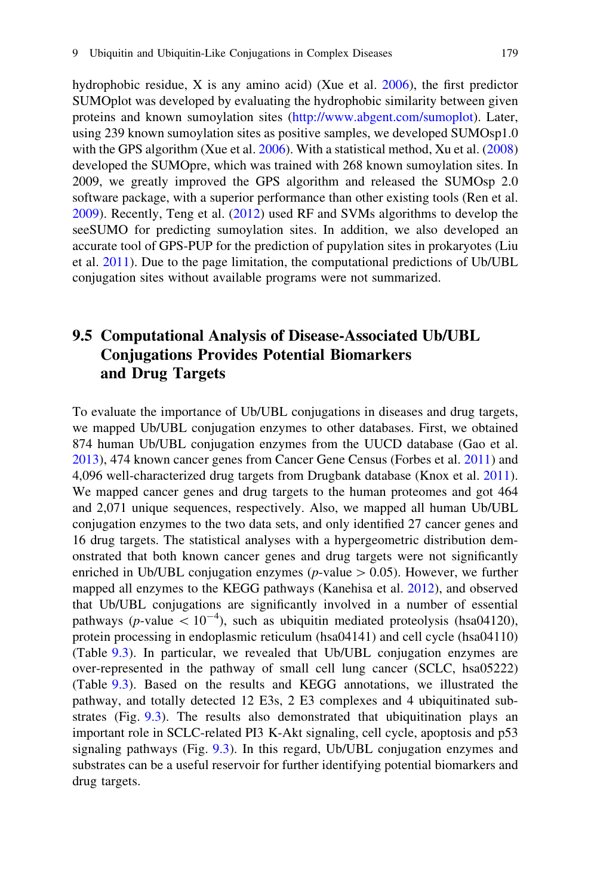hydrophobic residue, X is any amino acid) (Xue et al. [2006](#page-16-0)), the first predictor SUMOplot was developed by evaluating the hydrophobic similarity between given proteins and known sumoylation sites (<http://www.abgent.com/sumoplot>). Later, using 239 known sumoylation sites as positive samples, we developed SUMOsp1.0 with the GPS algorithm (Xue et al. [2006](#page-16-0)). With a statistical method, Xu et al. [\(2008](#page-16-0)) developed the SUMOpre, which was trained with 268 known sumoylation sites. In 2009, we greatly improved the GPS algorithm and released the SUMOsp 2.0 software package, with a superior performance than other existing tools (Ren et al. [2009\)](#page-15-0). Recently, Teng et al. ([2012\)](#page-15-0) used RF and SVMs algorithms to develop the seeSUMO for predicting sumoylation sites. In addition, we also developed an accurate tool of GPS-PUP for the prediction of pupylation sites in prokaryotes (Liu et al. [2011\)](#page-14-0). Due to the page limitation, the computational predictions of Ub/UBL conjugation sites without available programs were not summarized.

# 9.5 Computational Analysis of Disease-Associated Ub/UBL Conjugations Provides Potential Biomarkers and Drug Targets

To evaluate the importance of Ub/UBL conjugations in diseases and drug targets, we mapped Ub/UBL conjugation enzymes to other databases. First, we obtained 874 human Ub/UBL conjugation enzymes from the UUCD database (Gao et al. [2013\)](#page-13-0), 474 known cancer genes from Cancer Gene Census (Forbes et al. [2011](#page-13-0)) and 4,096 well-characterized drug targets from Drugbank database (Knox et al. [2011\)](#page-14-0). We mapped cancer genes and drug targets to the human proteomes and got 464 and 2,071 unique sequences, respectively. Also, we mapped all human Ub/UBL conjugation enzymes to the two data sets, and only identified 27 cancer genes and 16 drug targets. The statistical analyses with a hypergeometric distribution demonstrated that both known cancer genes and drug targets were not significantly enriched in Ub/UBL conjugation enzymes ( $p$ -value  $> 0.05$ ). However, we further mapped all enzymes to the KEGG pathways (Kanehisa et al. [2012](#page-13-0)), and observed that Ub/UBL conjugations are significantly involved in a number of essential pathways (p-value  $\lt 10^{-4}$ ), such as ubiquitin mediated proteolysis (hsa04120), protein processing in endoplasmic reticulum (hsa04141) and cell cycle (hsa04110) (Table [9.3\)](#page-9-0). In particular, we revealed that Ub/UBL conjugation enzymes are over-represented in the pathway of small cell lung cancer (SCLC, hsa05222) (Table [9.3\)](#page-9-0). Based on the results and KEGG annotations, we illustrated the pathway, and totally detected 12 E3s, 2 E3 complexes and 4 ubiquitinated substrates (Fig. [9.3](#page-10-0)). The results also demonstrated that ubiquitination plays an important role in SCLC-related PI3 K-Akt signaling, cell cycle, apoptosis and p53 signaling pathways (Fig. [9.3\)](#page-10-0). In this regard, Ub/UBL conjugation enzymes and substrates can be a useful reservoir for further identifying potential biomarkers and drug targets.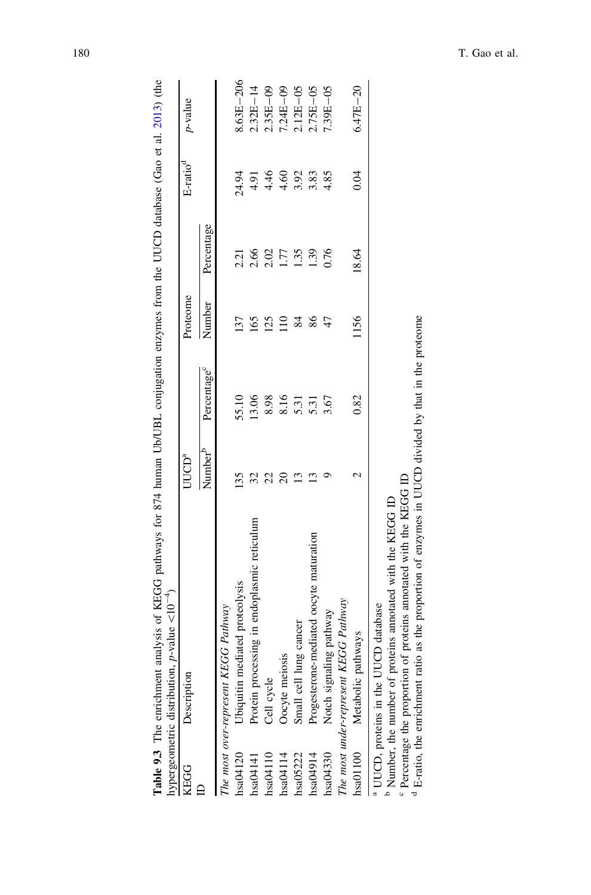|           | hypergeometric distribution, <i>p</i> -value $\langle 10^{-4} \rangle$                                                                                                                           |                     |                         |          |                  |                 |               |
|-----------|--------------------------------------------------------------------------------------------------------------------------------------------------------------------------------------------------|---------------------|-------------------------|----------|------------------|-----------------|---------------|
| KEGG      | Description                                                                                                                                                                                      | UUCD <sup>a</sup>   |                         | Proteome |                  | $E$ -rati $o^d$ | $p$ -value    |
|           |                                                                                                                                                                                                  | Number <sup>o</sup> | Percentage <sup>c</sup> | Number   | Percentage       |                 |               |
|           | The most over-represent KEGG Pathway                                                                                                                                                             |                     |                         |          |                  |                 |               |
| hsa04120  | Ubiquitin mediated proteolysis                                                                                                                                                                   | 135                 | 55.10                   | 137      | 2.21             | 24.94           | $8.63E - 206$ |
| hsa04141  | Protein processing in endoplasmic reticulum                                                                                                                                                      | 32                  | 13.06                   | 65       | 2.66             | 4.91            | $2.32E - 14$  |
| hasa04110 | Cell cycle                                                                                                                                                                                       |                     | 8.98                    | 25       | 2.02             | 4.46            | $2.35E - 09$  |
| hsa04114  | Oocyte meiosis                                                                                                                                                                                   |                     | 8.16                    |          | LT.              | 4.60            | $7.24E - 09$  |
| hsa05222  | Small cell lung cancer                                                                                                                                                                           | ≌                   | 5.31                    | 84       | 1.35             | 3.92            | $2.12E - 05$  |
| hsa04914  | Progesterone-mediated oocyte maturation                                                                                                                                                          | ≌                   | 5.31                    | 86       | $\overline{651}$ | 3.83            | $2.75E - 05$  |
| hsa04330  | Notch signaling pathway                                                                                                                                                                          |                     | 3.67                    | 47       | 0.76             | 4.85            | 7.39E-05      |
|           | The most under-represent KEGG Pathway                                                                                                                                                            |                     |                         |          |                  |                 |               |
| hsa01100  | Metabolic pathways                                                                                                                                                                               |                     | 0.82                    | 1156     | 18.64            | 0.04            | $6.47E - 20$  |
|           | <sup>b</sup> Number, the number of proteins annotated with the KEGG ID<br>UUCD database<br><sup>a</sup> UUCD, proteins in the                                                                    |                     |                         |          |                  |                 |               |
|           | <sup>d</sup> E-ratio, the enrichment ratio as the proportion of enzymes in UUCD divided by that in the proteome<br><sup>c</sup> Percentage the proportion of proteins annotated with the KEGG ID |                     |                         |          |                  |                 |               |

<span id="page-9-0"></span>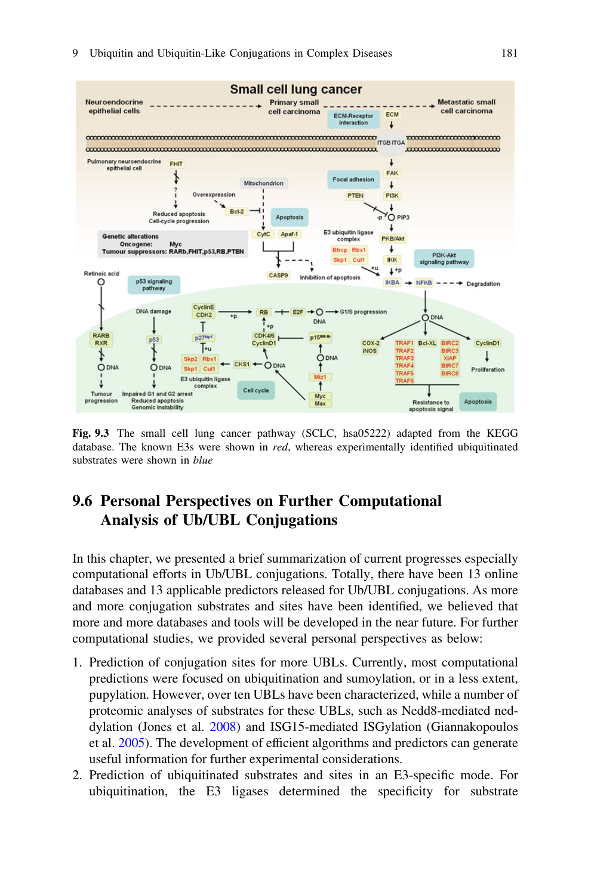<span id="page-10-0"></span>

Fig. 9.3 The small cell lung cancer pathway (SCLC, hsa05222) adapted from the KEGG database. The known E3s were shown in red, whereas experimentally identified ubiquitinated substrates were shown in *blue* 

# 9.6 Personal Perspectives on Further Computational Analysis of Ub/UBL Conjugations

In this chapter, we presented a brief summarization of current progresses especially computational efforts in Ub/UBL conjugations. Totally, there have been 13 online databases and 13 applicable predictors released for Ub/UBL conjugations. As more and more conjugation substrates and sites have been identified, we believed that more and more databases and tools will be developed in the near future. For further computational studies, we provided several personal perspectives as below:

- 1. Prediction of conjugation sites for more UBLs. Currently, most computational predictions were focused on ubiquitination and sumoylation, or in a less extent, pupylation. However, over ten UBLs have been characterized, while a number of proteomic analyses of substrates for these UBLs, such as Nedd8-mediated neddylation (Jones et al. [2008\)](#page-13-0) and ISG15-mediated ISGylation (Giannakopoulos et al. [2005\)](#page-13-0). The development of efficient algorithms and predictors can generate useful information for further experimental considerations.
- 2. Prediction of ubiquitinated substrates and sites in an E3-specific mode. For ubiquitination, the E3 ligases determined the specificity for substrate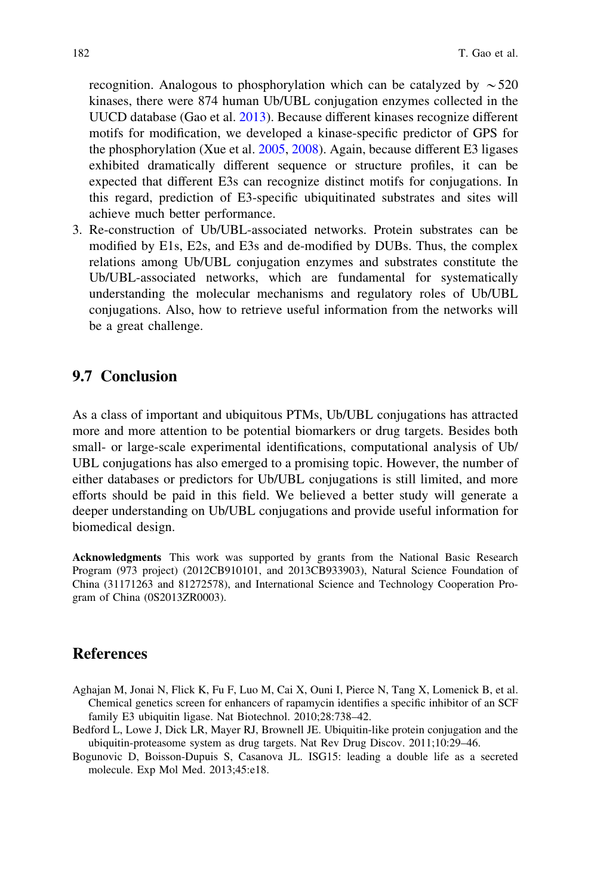<span id="page-11-0"></span>recognition. Analogous to phosphorylation which can be catalyzed by  $\sim$  520 kinases, there were 874 human Ub/UBL conjugation enzymes collected in the UUCD database (Gao et al. [2013](#page-13-0)). Because different kinases recognize different motifs for modification, we developed a kinase-specific predictor of GPS for the phosphorylation (Xue et al. [2005](#page-16-0), [2008](#page-16-0)). Again, because different E3 ligases exhibited dramatically different sequence or structure profiles, it can be expected that different E3s can recognize distinct motifs for conjugations. In this regard, prediction of E3-specific ubiquitinated substrates and sites will achieve much better performance.

3. Re-construction of Ub/UBL-associated networks. Protein substrates can be modified by E1s, E2s, and E3s and de-modified by DUBs. Thus, the complex relations among Ub/UBL conjugation enzymes and substrates constitute the Ub/UBL-associated networks, which are fundamental for systematically understanding the molecular mechanisms and regulatory roles of Ub/UBL conjugations. Also, how to retrieve useful information from the networks will be a great challenge.

### 9.7 Conclusion

As a class of important and ubiquitous PTMs, Ub/UBL conjugations has attracted more and more attention to be potential biomarkers or drug targets. Besides both small- or large-scale experimental identifications, computational analysis of Ub/ UBL conjugations has also emerged to a promising topic. However, the number of either databases or predictors for Ub/UBL conjugations is still limited, and more efforts should be paid in this field. We believed a better study will generate a deeper understanding on Ub/UBL conjugations and provide useful information for biomedical design.

Acknowledgments This work was supported by grants from the National Basic Research Program (973 project) (2012CB910101, and 2013CB933903), Natural Science Foundation of China (31171263 and 81272578), and International Science and Technology Cooperation Program of China (0S2013ZR0003).

## References

- Aghajan M, Jonai N, Flick K, Fu F, Luo M, Cai X, Ouni I, Pierce N, Tang X, Lomenick B, et al. Chemical genetics screen for enhancers of rapamycin identifies a specific inhibitor of an SCF family E3 ubiquitin ligase. Nat Biotechnol. 2010;28:738–42.
- Bedford L, Lowe J, Dick LR, Mayer RJ, Brownell JE. Ubiquitin-like protein conjugation and the ubiquitin-proteasome system as drug targets. Nat Rev Drug Discov. 2011;10:29–46.
- Bogunovic D, Boisson-Dupuis S, Casanova JL. ISG15: leading a double life as a secreted molecule. Exp Mol Med. 2013;45:e18.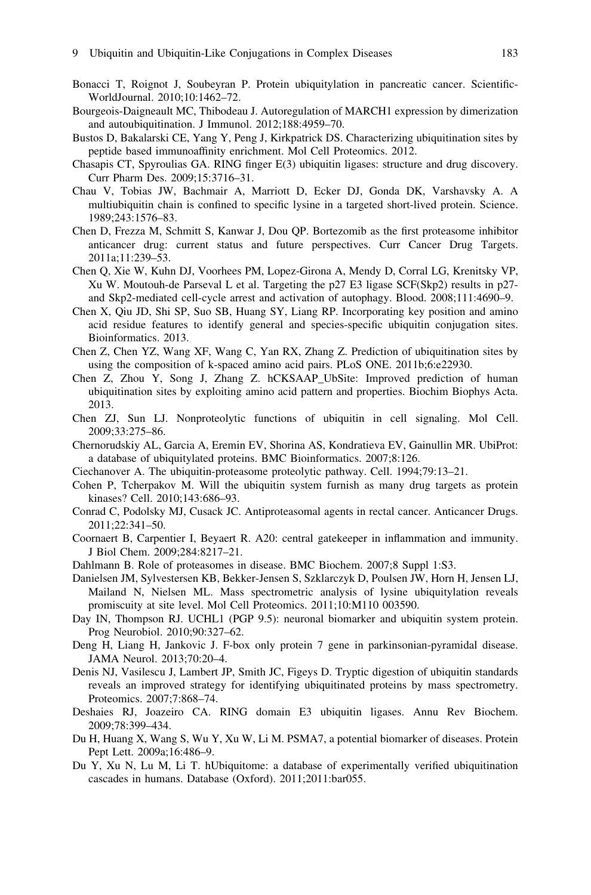- <span id="page-12-0"></span>Bonacci T, Roignot J, Soubeyran P. Protein ubiquitylation in pancreatic cancer. Scientific-WorldJournal. 2010;10:1462–72.
- Bourgeois-Daigneault MC, Thibodeau J. Autoregulation of MARCH1 expression by dimerization and autoubiquitination. J Immunol. 2012;188:4959–70.
- Bustos D, Bakalarski CE, Yang Y, Peng J, Kirkpatrick DS. Characterizing ubiquitination sites by peptide based immunoaffinity enrichment. Mol Cell Proteomics. 2012.
- Chasapis CT, Spyroulias GA. RING finger E(3) ubiquitin ligases: structure and drug discovery. Curr Pharm Des. 2009;15:3716–31.
- Chau V, Tobias JW, Bachmair A, Marriott D, Ecker DJ, Gonda DK, Varshavsky A. A multiubiquitin chain is confined to specific lysine in a targeted short-lived protein. Science. 1989;243:1576–83.
- Chen D, Frezza M, Schmitt S, Kanwar J, Dou QP. Bortezomib as the first proteasome inhibitor anticancer drug: current status and future perspectives. Curr Cancer Drug Targets. 2011a;11:239–53.
- Chen Q, Xie W, Kuhn DJ, Voorhees PM, Lopez-Girona A, Mendy D, Corral LG, Krenitsky VP, Xu W. Moutouh-de Parseval L et al. Targeting the p27 E3 ligase SCF(Skp2) results in p27 and Skp2-mediated cell-cycle arrest and activation of autophagy. Blood. 2008;111:4690–9.
- Chen X, Qiu JD, Shi SP, Suo SB, Huang SY, Liang RP. Incorporating key position and amino acid residue features to identify general and species-specific ubiquitin conjugation sites. Bioinformatics. 2013.
- Chen Z, Chen YZ, Wang XF, Wang C, Yan RX, Zhang Z. Prediction of ubiquitination sites by using the composition of k-spaced amino acid pairs. PLoS ONE. 2011b;6:e22930.
- Chen Z, Zhou Y, Song J, Zhang Z. hCKSAAP\_UbSite: Improved prediction of human ubiquitination sites by exploiting amino acid pattern and properties. Biochim Biophys Acta. 2013.
- Chen ZJ, Sun LJ. Nonproteolytic functions of ubiquitin in cell signaling. Mol Cell. 2009;33:275–86.
- Chernorudskiy AL, Garcia A, Eremin EV, Shorina AS, Kondratieva EV, Gainullin MR. UbiProt: a database of ubiquitylated proteins. BMC Bioinformatics. 2007;8:126.
- Ciechanover A. The ubiquitin-proteasome proteolytic pathway. Cell. 1994;79:13–21.
- Cohen P, Tcherpakov M. Will the ubiquitin system furnish as many drug targets as protein kinases? Cell. 2010;143:686–93.
- Conrad C, Podolsky MJ, Cusack JC. Antiproteasomal agents in rectal cancer. Anticancer Drugs. 2011;22:341–50.
- Coornaert B, Carpentier I, Beyaert R. A20: central gatekeeper in inflammation and immunity. J Biol Chem. 2009;284:8217–21.
- Dahlmann B. Role of proteasomes in disease. BMC Biochem. 2007;8 Suppl 1:S3.
- Danielsen JM, Sylvestersen KB, Bekker-Jensen S, Szklarczyk D, Poulsen JW, Horn H, Jensen LJ, Mailand N, Nielsen ML. Mass spectrometric analysis of lysine ubiquitylation reveals promiscuity at site level. Mol Cell Proteomics. 2011;10:M110 003590.
- Day IN, Thompson RJ. UCHL1 (PGP 9.5): neuronal biomarker and ubiquitin system protein. Prog Neurobiol. 2010;90:327–62.
- Deng H, Liang H, Jankovic J. F-box only protein 7 gene in parkinsonian-pyramidal disease. JAMA Neurol. 2013;70:20–4.
- Denis NJ, Vasilescu J, Lambert JP, Smith JC, Figeys D. Tryptic digestion of ubiquitin standards reveals an improved strategy for identifying ubiquitinated proteins by mass spectrometry. Proteomics. 2007;7:868–74.
- Deshaies RJ, Joazeiro CA. RING domain E3 ubiquitin ligases. Annu Rev Biochem. 2009;78:399–434.
- Du H, Huang X, Wang S, Wu Y, Xu W, Li M. PSMA7, a potential biomarker of diseases. Protein Pept Lett. 2009a;16:486–9.
- Du Y, Xu N, Lu M, Li T. hUbiquitome: a database of experimentally verified ubiquitination cascades in humans. Database (Oxford). 2011;2011:bar055.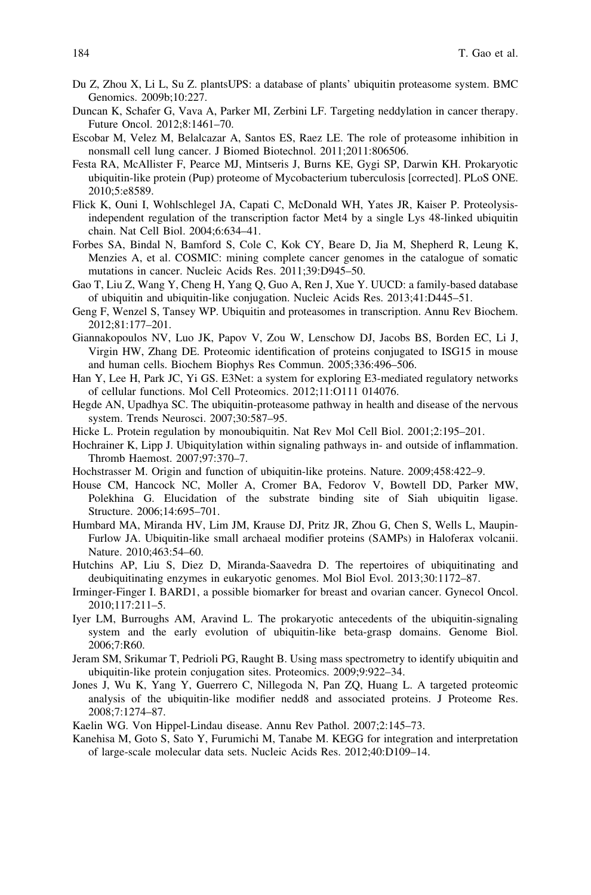- <span id="page-13-0"></span>Du Z, Zhou X, Li L, Su Z. plantsUPS: a database of plants' ubiquitin proteasome system. BMC Genomics. 2009b;10:227.
- Duncan K, Schafer G, Vava A, Parker MI, Zerbini LF. Targeting neddylation in cancer therapy. Future Oncol. 2012;8:1461–70.
- Escobar M, Velez M, Belalcazar A, Santos ES, Raez LE. The role of proteasome inhibition in nonsmall cell lung cancer. J Biomed Biotechnol. 2011;2011:806506.
- Festa RA, McAllister F, Pearce MJ, Mintseris J, Burns KE, Gygi SP, Darwin KH. Prokaryotic ubiquitin-like protein (Pup) proteome of Mycobacterium tuberculosis [corrected]. PLoS ONE. 2010;5:e8589.
- Flick K, Ouni I, Wohlschlegel JA, Capati C, McDonald WH, Yates JR, Kaiser P. Proteolysisindependent regulation of the transcription factor Met4 by a single Lys 48-linked ubiquitin chain. Nat Cell Biol. 2004;6:634–41.
- Forbes SA, Bindal N, Bamford S, Cole C, Kok CY, Beare D, Jia M, Shepherd R, Leung K, Menzies A, et al. COSMIC: mining complete cancer genomes in the catalogue of somatic mutations in cancer. Nucleic Acids Res. 2011;39:D945–50.
- Gao T, Liu Z, Wang Y, Cheng H, Yang Q, Guo A, Ren J, Xue Y. UUCD: a family-based database of ubiquitin and ubiquitin-like conjugation. Nucleic Acids Res. 2013;41:D445–51.
- Geng F, Wenzel S, Tansey WP. Ubiquitin and proteasomes in transcription. Annu Rev Biochem. 2012;81:177–201.
- Giannakopoulos NV, Luo JK, Papov V, Zou W, Lenschow DJ, Jacobs BS, Borden EC, Li J, Virgin HW, Zhang DE. Proteomic identification of proteins conjugated to ISG15 in mouse and human cells. Biochem Biophys Res Commun. 2005;336:496–506.
- Han Y, Lee H, Park JC, Yi GS. E3Net: a system for exploring E3-mediated regulatory networks of cellular functions. Mol Cell Proteomics. 2012;11:O111 014076.
- Hegde AN, Upadhya SC. The ubiquitin-proteasome pathway in health and disease of the nervous system. Trends Neurosci. 2007;30:587–95.
- Hicke L. Protein regulation by monoubiquitin. Nat Rev Mol Cell Biol. 2001;2:195–201.
- Hochrainer K, Lipp J. Ubiquitylation within signaling pathways in- and outside of inflammation. Thromb Haemost. 2007;97:370–7.
- Hochstrasser M. Origin and function of ubiquitin-like proteins. Nature. 2009;458:422–9.
- House CM, Hancock NC, Moller A, Cromer BA, Fedorov V, Bowtell DD, Parker MW, Polekhina G. Elucidation of the substrate binding site of Siah ubiquitin ligase. Structure. 2006;14:695–701.
- Humbard MA, Miranda HV, Lim JM, Krause DJ, Pritz JR, Zhou G, Chen S, Wells L, Maupin-Furlow JA. Ubiquitin-like small archaeal modifier proteins (SAMPs) in Haloferax volcanii. Nature. 2010;463:54–60.
- Hutchins AP, Liu S, Diez D, Miranda-Saavedra D. The repertoires of ubiquitinating and deubiquitinating enzymes in eukaryotic genomes. Mol Biol Evol. 2013;30:1172–87.
- Irminger-Finger I. BARD1, a possible biomarker for breast and ovarian cancer. Gynecol Oncol. 2010;117:211–5.
- Iyer LM, Burroughs AM, Aravind L. The prokaryotic antecedents of the ubiquitin-signaling system and the early evolution of ubiquitin-like beta-grasp domains. Genome Biol. 2006;7:R60.
- Jeram SM, Srikumar T, Pedrioli PG, Raught B. Using mass spectrometry to identify ubiquitin and ubiquitin-like protein conjugation sites. Proteomics. 2009;9:922–34.
- Jones J, Wu K, Yang Y, Guerrero C, Nillegoda N, Pan ZQ, Huang L. A targeted proteomic analysis of the ubiquitin-like modifier nedd8 and associated proteins. J Proteome Res. 2008;7:1274–87.
- Kaelin WG. Von Hippel-Lindau disease. Annu Rev Pathol. 2007;2:145–73.
- Kanehisa M, Goto S, Sato Y, Furumichi M, Tanabe M. KEGG for integration and interpretation of large-scale molecular data sets. Nucleic Acids Res. 2012;40:D109–14.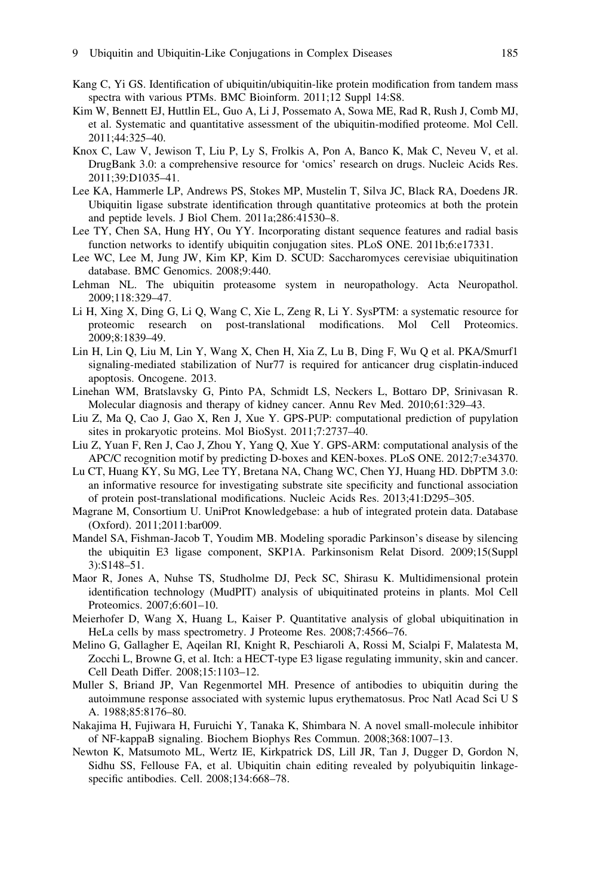- <span id="page-14-0"></span>Kang C, Yi GS. Identification of ubiquitin/ubiquitin-like protein modification from tandem mass spectra with various PTMs. BMC Bioinform. 2011;12 Suppl 14:S8.
- Kim W, Bennett EJ, Huttlin EL, Guo A, Li J, Possemato A, Sowa ME, Rad R, Rush J, Comb MJ, et al. Systematic and quantitative assessment of the ubiquitin-modified proteome. Mol Cell. 2011;44:325–40.
- Knox C, Law V, Jewison T, Liu P, Ly S, Frolkis A, Pon A, Banco K, Mak C, Neveu V, et al. DrugBank 3.0: a comprehensive resource for 'omics' research on drugs. Nucleic Acids Res. 2011;39:D1035–41.
- Lee KA, Hammerle LP, Andrews PS, Stokes MP, Mustelin T, Silva JC, Black RA, Doedens JR. Ubiquitin ligase substrate identification through quantitative proteomics at both the protein and peptide levels. J Biol Chem. 2011a;286:41530–8.
- Lee TY, Chen SA, Hung HY, Ou YY. Incorporating distant sequence features and radial basis function networks to identify ubiquitin conjugation sites. PLoS ONE. 2011b;6:e17331.
- Lee WC, Lee M, Jung JW, Kim KP, Kim D. SCUD: Saccharomyces cerevisiae ubiquitination database. BMC Genomics. 2008;9:440.
- Lehman NL. The ubiquitin proteasome system in neuropathology. Acta Neuropathol. 2009;118:329–47.
- Li H, Xing X, Ding G, Li Q, Wang C, Xie L, Zeng R, Li Y. SysPTM: a systematic resource for proteomic research on post-translational modifications. Mol Cell Proteomics. 2009;8:1839–49.
- Lin H, Lin Q, Liu M, Lin Y, Wang X, Chen H, Xia Z, Lu B, Ding F, Wu Q et al. PKA/Smurf1 signaling-mediated stabilization of Nur77 is required for anticancer drug cisplatin-induced apoptosis. Oncogene. 2013.
- Linehan WM, Bratslavsky G, Pinto PA, Schmidt LS, Neckers L, Bottaro DP, Srinivasan R. Molecular diagnosis and therapy of kidney cancer. Annu Rev Med. 2010;61:329–43.
- Liu Z, Ma Q, Cao J, Gao X, Ren J, Xue Y. GPS-PUP: computational prediction of pupylation sites in prokaryotic proteins. Mol BioSyst. 2011;7:2737–40.
- Liu Z, Yuan F, Ren J, Cao J, Zhou Y, Yang Q, Xue Y. GPS-ARM: computational analysis of the APC/C recognition motif by predicting D-boxes and KEN-boxes. PLoS ONE. 2012;7:e34370.
- Lu CT, Huang KY, Su MG, Lee TY, Bretana NA, Chang WC, Chen YJ, Huang HD. DbPTM 3.0: an informative resource for investigating substrate site specificity and functional association of protein post-translational modifications. Nucleic Acids Res. 2013;41:D295–305.
- Magrane M, Consortium U. UniProt Knowledgebase: a hub of integrated protein data. Database (Oxford). 2011;2011:bar009.
- Mandel SA, Fishman-Jacob T, Youdim MB. Modeling sporadic Parkinson's disease by silencing the ubiquitin E3 ligase component, SKP1A. Parkinsonism Relat Disord. 2009;15(Suppl 3):S148–51.
- Maor R, Jones A, Nuhse TS, Studholme DJ, Peck SC, Shirasu K. Multidimensional protein identification technology (MudPIT) analysis of ubiquitinated proteins in plants. Mol Cell Proteomics. 2007;6:601–10.
- Meierhofer D, Wang X, Huang L, Kaiser P. Quantitative analysis of global ubiquitination in HeLa cells by mass spectrometry. J Proteome Res. 2008;7:4566–76.
- Melino G, Gallagher E, Aqeilan RI, Knight R, Peschiaroli A, Rossi M, Scialpi F, Malatesta M, Zocchi L, Browne G, et al. Itch: a HECT-type E3 ligase regulating immunity, skin and cancer. Cell Death Differ. 2008;15:1103–12.
- Muller S, Briand JP, Van Regenmortel MH. Presence of antibodies to ubiquitin during the autoimmune response associated with systemic lupus erythematosus. Proc Natl Acad Sci U S A. 1988;85:8176–80.
- Nakajima H, Fujiwara H, Furuichi Y, Tanaka K, Shimbara N. A novel small-molecule inhibitor of NF-kappaB signaling. Biochem Biophys Res Commun. 2008;368:1007–13.
- Newton K, Matsumoto ML, Wertz IE, Kirkpatrick DS, Lill JR, Tan J, Dugger D, Gordon N, Sidhu SS, Fellouse FA, et al. Ubiquitin chain editing revealed by polyubiquitin linkagespecific antibodies. Cell. 2008;134:668–78.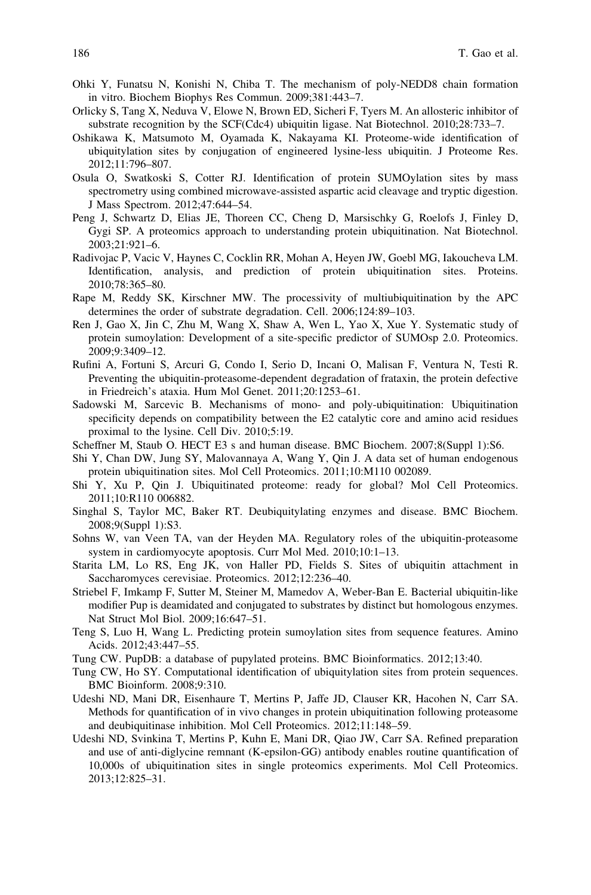- <span id="page-15-0"></span>Ohki Y, Funatsu N, Konishi N, Chiba T. The mechanism of poly-NEDD8 chain formation in vitro. Biochem Biophys Res Commun. 2009;381:443–7.
- Orlicky S, Tang X, Neduva V, Elowe N, Brown ED, Sicheri F, Tyers M. An allosteric inhibitor of substrate recognition by the SCF(Cdc4) ubiquitin ligase. Nat Biotechnol. 2010;28:733–7.
- Oshikawa K, Matsumoto M, Oyamada K, Nakayama KI. Proteome-wide identification of ubiquitylation sites by conjugation of engineered lysine-less ubiquitin. J Proteome Res. 2012;11:796–807.
- Osula O, Swatkoski S, Cotter RJ. Identification of protein SUMOylation sites by mass spectrometry using combined microwave-assisted aspartic acid cleavage and tryptic digestion. J Mass Spectrom. 2012;47:644–54.
- Peng J, Schwartz D, Elias JE, Thoreen CC, Cheng D, Marsischky G, Roelofs J, Finley D, Gygi SP. A proteomics approach to understanding protein ubiquitination. Nat Biotechnol. 2003;21:921–6.
- Radivojac P, Vacic V, Haynes C, Cocklin RR, Mohan A, Heyen JW, Goebl MG, Iakoucheva LM. Identification, analysis, and prediction of protein ubiquitination sites. Proteins. 2010;78:365–80.
- Rape M, Reddy SK, Kirschner MW. The processivity of multiubiquitination by the APC determines the order of substrate degradation. Cell. 2006;124:89–103.
- Ren J, Gao X, Jin C, Zhu M, Wang X, Shaw A, Wen L, Yao X, Xue Y. Systematic study of protein sumoylation: Development of a site-specific predictor of SUMOsp 2.0. Proteomics. 2009;9:3409–12.
- Rufini A, Fortuni S, Arcuri G, Condo I, Serio D, Incani O, Malisan F, Ventura N, Testi R. Preventing the ubiquitin-proteasome-dependent degradation of frataxin, the protein defective in Friedreich's ataxia. Hum Mol Genet. 2011;20:1253–61.
- Sadowski M, Sarcevic B. Mechanisms of mono- and poly-ubiquitination: Ubiquitination specificity depends on compatibility between the E2 catalytic core and amino acid residues proximal to the lysine. Cell Div. 2010;5:19.
- Scheffner M, Staub O. HECT E3 s and human disease. BMC Biochem. 2007;8(Suppl 1):S6.
- Shi Y, Chan DW, Jung SY, Malovannaya A, Wang Y, Qin J. A data set of human endogenous protein ubiquitination sites. Mol Cell Proteomics. 2011;10:M110 002089.
- Shi Y, Xu P, Qin J. Ubiquitinated proteome: ready for global? Mol Cell Proteomics. 2011;10:R110 006882.
- Singhal S, Taylor MC, Baker RT. Deubiquitylating enzymes and disease. BMC Biochem. 2008;9(Suppl 1):S3.
- Sohns W, van Veen TA, van der Heyden MA. Regulatory roles of the ubiquitin-proteasome system in cardiomyocyte apoptosis. Curr Mol Med. 2010;10:1–13.
- Starita LM, Lo RS, Eng JK, von Haller PD, Fields S. Sites of ubiquitin attachment in Saccharomyces cerevisiae. Proteomics. 2012;12:236–40.
- Striebel F, Imkamp F, Sutter M, Steiner M, Mamedov A, Weber-Ban E. Bacterial ubiquitin-like modifier Pup is deamidated and conjugated to substrates by distinct but homologous enzymes. Nat Struct Mol Biol. 2009;16:647–51.
- Teng S, Luo H, Wang L. Predicting protein sumoylation sites from sequence features. Amino Acids. 2012;43:447–55.
- Tung CW. PupDB: a database of pupylated proteins. BMC Bioinformatics. 2012;13:40.
- Tung CW, Ho SY. Computational identification of ubiquitylation sites from protein sequences. BMC Bioinform. 2008;9:310.
- Udeshi ND, Mani DR, Eisenhaure T, Mertins P, Jaffe JD, Clauser KR, Hacohen N, Carr SA. Methods for quantification of in vivo changes in protein ubiquitination following proteasome and deubiquitinase inhibition. Mol Cell Proteomics. 2012;11:148–59.
- Udeshi ND, Svinkina T, Mertins P, Kuhn E, Mani DR, Qiao JW, Carr SA. Refined preparation and use of anti-diglycine remnant (K-epsilon-GG) antibody enables routine quantification of 10,000s of ubiquitination sites in single proteomics experiments. Mol Cell Proteomics. 2013;12:825–31.